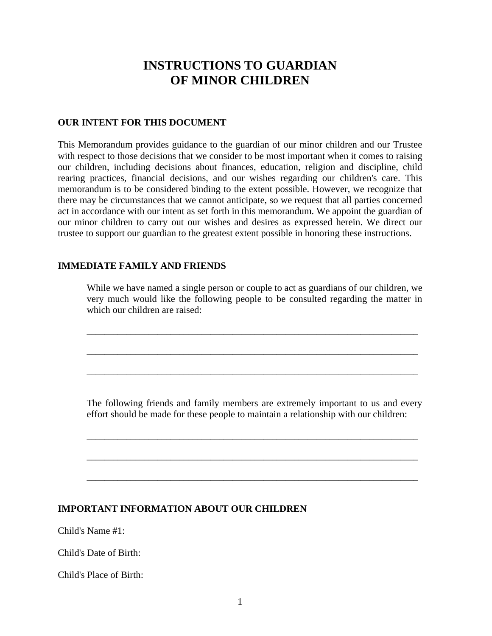# **INSTRUCTIONS TO GUARDIAN OF MINOR CHILDREN**

#### **OUR INTENT FOR THIS DOCUMENT**

This Memorandum provides guidance to the guardian of our minor children and our Trustee with respect to those decisions that we consider to be most important when it comes to raising our children, including decisions about finances, education, religion and discipline, child rearing practices, financial decisions, and our wishes regarding our children's care. This memorandum is to be considered binding to the extent possible. However, we recognize that there may be circumstances that we cannot anticipate, so we request that all parties concerned act in accordance with our intent as set forth in this memorandum. We appoint the guardian of our minor children to carry out our wishes and desires as expressed herein. We direct our trustee to support our guardian to the greatest extent possible in honoring these instructions.

#### **IMMEDIATE FAMILY AND FRIENDS**

While we have named a single person or couple to act as guardians of our children, we very much would like the following people to be consulted regarding the matter in which our children are raised:

\_\_\_\_\_\_\_\_\_\_\_\_\_\_\_\_\_\_\_\_\_\_\_\_\_\_\_\_\_\_\_\_\_\_\_\_\_\_\_\_\_\_\_\_\_\_\_\_\_\_\_\_\_\_\_\_\_\_\_\_\_\_\_\_\_\_\_\_\_\_\_\_\_\_\_

\_\_\_\_\_\_\_\_\_\_\_\_\_\_\_\_\_\_\_\_\_\_\_\_\_\_\_\_\_\_\_\_\_\_\_\_\_\_\_\_\_\_\_\_\_\_\_\_\_\_\_\_\_\_\_\_\_\_\_\_\_\_\_\_\_\_\_\_\_\_\_\_\_\_\_

\_\_\_\_\_\_\_\_\_\_\_\_\_\_\_\_\_\_\_\_\_\_\_\_\_\_\_\_\_\_\_\_\_\_\_\_\_\_\_\_\_\_\_\_\_\_\_\_\_\_\_\_\_\_\_\_\_\_\_\_\_\_\_\_\_\_\_\_\_\_\_\_\_\_\_

The following friends and family members are extremely important to us and every effort should be made for these people to maintain a relationship with our children:

\_\_\_\_\_\_\_\_\_\_\_\_\_\_\_\_\_\_\_\_\_\_\_\_\_\_\_\_\_\_\_\_\_\_\_\_\_\_\_\_\_\_\_\_\_\_\_\_\_\_\_\_\_\_\_\_\_\_\_\_\_\_\_\_\_\_\_\_\_\_\_\_\_\_\_

\_\_\_\_\_\_\_\_\_\_\_\_\_\_\_\_\_\_\_\_\_\_\_\_\_\_\_\_\_\_\_\_\_\_\_\_\_\_\_\_\_\_\_\_\_\_\_\_\_\_\_\_\_\_\_\_\_\_\_\_\_\_\_\_\_\_\_\_\_\_\_\_\_\_\_

\_\_\_\_\_\_\_\_\_\_\_\_\_\_\_\_\_\_\_\_\_\_\_\_\_\_\_\_\_\_\_\_\_\_\_\_\_\_\_\_\_\_\_\_\_\_\_\_\_\_\_\_\_\_\_\_\_\_\_\_\_\_\_\_\_\_\_\_\_\_\_\_\_\_\_

#### **IMPORTANT INFORMATION ABOUT OUR CHILDREN**

Child's Name #1:

Child's Date of Birth:

Child's Place of Birth: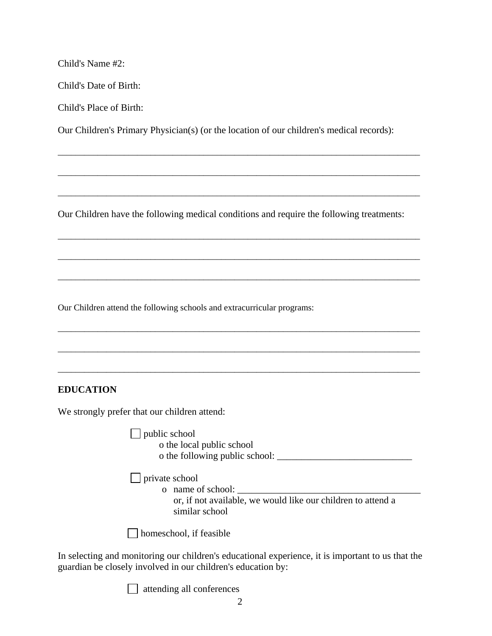Child's Name #2:

Child's Date of Birth:

Child's Place of Birth:

Our Children's Primary Physician(s) (or the location of our children's medical records):

\_\_\_\_\_\_\_\_\_\_\_\_\_\_\_\_\_\_\_\_\_\_\_\_\_\_\_\_\_\_\_\_\_\_\_\_\_\_\_\_\_\_\_\_\_\_\_\_\_\_\_\_\_\_\_\_\_\_\_\_\_\_\_\_\_\_\_\_\_\_\_\_\_\_\_\_\_\_\_\_\_\_

\_\_\_\_\_\_\_\_\_\_\_\_\_\_\_\_\_\_\_\_\_\_\_\_\_\_\_\_\_\_\_\_\_\_\_\_\_\_\_\_\_\_\_\_\_\_\_\_\_\_\_\_\_\_\_\_\_\_\_\_\_\_\_\_\_\_\_\_\_\_\_\_\_\_\_\_\_\_\_\_\_\_

\_\_\_\_\_\_\_\_\_\_\_\_\_\_\_\_\_\_\_\_\_\_\_\_\_\_\_\_\_\_\_\_\_\_\_\_\_\_\_\_\_\_\_\_\_\_\_\_\_\_\_\_\_\_\_\_\_\_\_\_\_\_\_\_\_\_\_\_\_\_\_\_\_\_\_\_\_\_\_\_\_\_

\_\_\_\_\_\_\_\_\_\_\_\_\_\_\_\_\_\_\_\_\_\_\_\_\_\_\_\_\_\_\_\_\_\_\_\_\_\_\_\_\_\_\_\_\_\_\_\_\_\_\_\_\_\_\_\_\_\_\_\_\_\_\_\_\_\_\_\_\_\_\_\_\_\_\_\_\_\_\_\_\_\_

\_\_\_\_\_\_\_\_\_\_\_\_\_\_\_\_\_\_\_\_\_\_\_\_\_\_\_\_\_\_\_\_\_\_\_\_\_\_\_\_\_\_\_\_\_\_\_\_\_\_\_\_\_\_\_\_\_\_\_\_\_\_\_\_\_\_\_\_\_\_\_\_\_\_\_\_\_\_\_\_\_\_

\_\_\_\_\_\_\_\_\_\_\_\_\_\_\_\_\_\_\_\_\_\_\_\_\_\_\_\_\_\_\_\_\_\_\_\_\_\_\_\_\_\_\_\_\_\_\_\_\_\_\_\_\_\_\_\_\_\_\_\_\_\_\_\_\_\_\_\_\_\_\_\_\_\_\_\_\_\_\_\_\_\_

\_\_\_\_\_\_\_\_\_\_\_\_\_\_\_\_\_\_\_\_\_\_\_\_\_\_\_\_\_\_\_\_\_\_\_\_\_\_\_\_\_\_\_\_\_\_\_\_\_\_\_\_\_\_\_\_\_\_\_\_\_\_\_\_\_\_\_\_\_\_\_\_\_\_\_\_\_\_\_\_\_\_

\_\_\_\_\_\_\_\_\_\_\_\_\_\_\_\_\_\_\_\_\_\_\_\_\_\_\_\_\_\_\_\_\_\_\_\_\_\_\_\_\_\_\_\_\_\_\_\_\_\_\_\_\_\_\_\_\_\_\_\_\_\_\_\_\_\_\_\_\_\_\_\_\_\_\_\_\_\_\_\_\_\_

\_\_\_\_\_\_\_\_\_\_\_\_\_\_\_\_\_\_\_\_\_\_\_\_\_\_\_\_\_\_\_\_\_\_\_\_\_\_\_\_\_\_\_\_\_\_\_\_\_\_\_\_\_\_\_\_\_\_\_\_\_\_\_\_\_\_\_\_\_\_\_\_\_\_\_\_\_\_\_\_\_\_

Our Children have the following medical conditions and require the following treatments:

Our Children attend the following schools and extracurricular programs:

## **EDUCATION**

We strongly prefer that our children attend:

|                          | public school                                                                  |
|--------------------------|--------------------------------------------------------------------------------|
|                          | o the local public school                                                      |
|                          | o the following public school:                                                 |
| $\vert$   private school | o name of school:                                                              |
|                          | or, if not available, we would like our children to attend a<br>similar school |

In selecting and monitoring our children's educational experience, it is important to us that the guardian be closely involved in our children's education by:

attending all conferences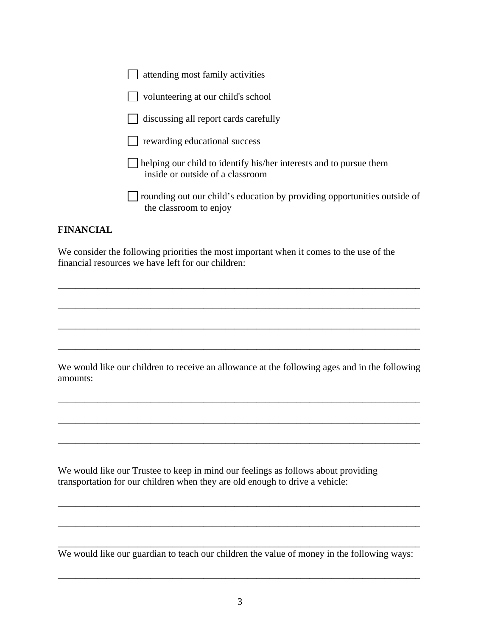| attending most family activities                                                                       |
|--------------------------------------------------------------------------------------------------------|
| volunteering at our child's school                                                                     |
| discussing all report cards carefully                                                                  |
| rewarding educational success                                                                          |
| helping our child to identify his/her interests and to pursue them<br>inside or outside of a classroom |
| rounding out our child's education by providing opportunities outside of<br>the classroom to enjoy     |

#### **FINANCIAL**

We consider the following priorities the most important when it comes to the use of the financial resources we have left for our children:

We would like our children to receive an allowance at the following ages and in the following amounts:

\_\_\_\_\_\_\_\_\_\_\_\_\_\_\_\_\_\_\_\_\_\_\_\_\_\_\_\_\_\_\_\_\_\_\_\_\_\_\_\_\_\_\_\_\_\_\_\_\_\_\_\_\_\_\_\_\_\_\_\_\_\_\_\_\_\_\_\_\_\_\_\_\_\_\_\_\_\_\_\_\_\_

\_\_\_\_\_\_\_\_\_\_\_\_\_\_\_\_\_\_\_\_\_\_\_\_\_\_\_\_\_\_\_\_\_\_\_\_\_\_\_\_\_\_\_\_\_\_\_\_\_\_\_\_\_\_\_\_\_\_\_\_\_\_\_\_\_\_\_\_\_\_\_\_\_\_\_\_\_\_\_\_\_\_

\_\_\_\_\_\_\_\_\_\_\_\_\_\_\_\_\_\_\_\_\_\_\_\_\_\_\_\_\_\_\_\_\_\_\_\_\_\_\_\_\_\_\_\_\_\_\_\_\_\_\_\_\_\_\_\_\_\_\_\_\_\_\_\_\_\_\_\_\_\_\_\_\_\_\_\_\_\_\_\_\_\_

\_\_\_\_\_\_\_\_\_\_\_\_\_\_\_\_\_\_\_\_\_\_\_\_\_\_\_\_\_\_\_\_\_\_\_\_\_\_\_\_\_\_\_\_\_\_\_\_\_\_\_\_\_\_\_\_\_\_\_\_\_\_\_\_\_\_\_\_\_\_\_\_\_\_\_\_\_\_\_\_\_\_

\_\_\_\_\_\_\_\_\_\_\_\_\_\_\_\_\_\_\_\_\_\_\_\_\_\_\_\_\_\_\_\_\_\_\_\_\_\_\_\_\_\_\_\_\_\_\_\_\_\_\_\_\_\_\_\_\_\_\_\_\_\_\_\_\_\_\_\_\_\_\_\_\_\_\_\_\_\_\_\_\_\_

\_\_\_\_\_\_\_\_\_\_\_\_\_\_\_\_\_\_\_\_\_\_\_\_\_\_\_\_\_\_\_\_\_\_\_\_\_\_\_\_\_\_\_\_\_\_\_\_\_\_\_\_\_\_\_\_\_\_\_\_\_\_\_\_\_\_\_\_\_\_\_\_\_\_\_\_\_\_\_\_\_\_

\_\_\_\_\_\_\_\_\_\_\_\_\_\_\_\_\_\_\_\_\_\_\_\_\_\_\_\_\_\_\_\_\_\_\_\_\_\_\_\_\_\_\_\_\_\_\_\_\_\_\_\_\_\_\_\_\_\_\_\_\_\_\_\_\_\_\_\_\_\_\_\_\_\_\_\_\_\_\_\_\_\_

\_\_\_\_\_\_\_\_\_\_\_\_\_\_\_\_\_\_\_\_\_\_\_\_\_\_\_\_\_\_\_\_\_\_\_\_\_\_\_\_\_\_\_\_\_\_\_\_\_\_\_\_\_\_\_\_\_\_\_\_\_\_\_\_\_\_\_\_\_\_\_\_\_\_\_\_\_\_\_\_\_\_

\_\_\_\_\_\_\_\_\_\_\_\_\_\_\_\_\_\_\_\_\_\_\_\_\_\_\_\_\_\_\_\_\_\_\_\_\_\_\_\_\_\_\_\_\_\_\_\_\_\_\_\_\_\_\_\_\_\_\_\_\_\_\_\_\_\_\_\_\_\_\_\_\_\_\_\_\_\_\_\_\_\_

We would like our Trustee to keep in mind our feelings as follows about providing transportation for our children when they are old enough to drive a vehicle:

\_\_\_\_\_\_\_\_\_\_\_\_\_\_\_\_\_\_\_\_\_\_\_\_\_\_\_\_\_\_\_\_\_\_\_\_\_\_\_\_\_\_\_\_\_\_\_\_\_\_\_\_\_\_\_\_\_\_\_\_\_\_\_\_\_\_\_\_\_\_\_\_\_\_\_\_\_\_\_\_\_\_ We would like our guardian to teach our children the value of money in the following ways:

\_\_\_\_\_\_\_\_\_\_\_\_\_\_\_\_\_\_\_\_\_\_\_\_\_\_\_\_\_\_\_\_\_\_\_\_\_\_\_\_\_\_\_\_\_\_\_\_\_\_\_\_\_\_\_\_\_\_\_\_\_\_\_\_\_\_\_\_\_\_\_\_\_\_\_\_\_\_\_\_\_\_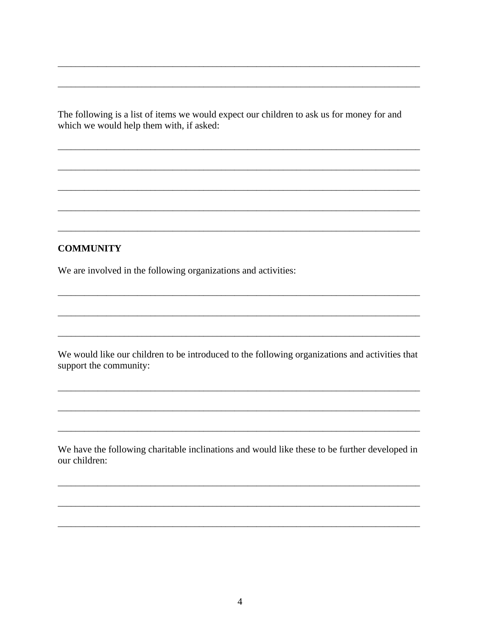The following is a list of items we would expect our children to ask us for money for and which we would help them with, if asked:

#### **COMMUNITY**

We are involved in the following organizations and activities:

We would like our children to be introduced to the following organizations and activities that support the community:

We have the following charitable inclinations and would like these to be further developed in our children: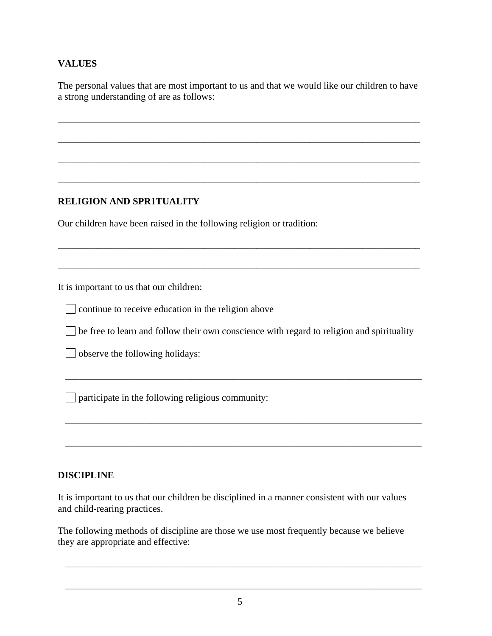# **VALUES**

The personal values that are most important to us and that we would like our children to have a strong understanding of are as follows:

\_\_\_\_\_\_\_\_\_\_\_\_\_\_\_\_\_\_\_\_\_\_\_\_\_\_\_\_\_\_\_\_\_\_\_\_\_\_\_\_\_\_\_\_\_\_\_\_\_\_\_\_\_\_\_\_\_\_\_\_\_\_\_\_\_\_\_\_\_\_\_\_\_\_\_\_\_\_\_\_\_\_

\_\_\_\_\_\_\_\_\_\_\_\_\_\_\_\_\_\_\_\_\_\_\_\_\_\_\_\_\_\_\_\_\_\_\_\_\_\_\_\_\_\_\_\_\_\_\_\_\_\_\_\_\_\_\_\_\_\_\_\_\_\_\_\_\_\_\_\_\_\_\_\_\_\_\_\_\_\_\_\_\_\_

\_\_\_\_\_\_\_\_\_\_\_\_\_\_\_\_\_\_\_\_\_\_\_\_\_\_\_\_\_\_\_\_\_\_\_\_\_\_\_\_\_\_\_\_\_\_\_\_\_\_\_\_\_\_\_\_\_\_\_\_\_\_\_\_\_\_\_\_\_\_\_\_\_\_\_\_\_\_\_\_\_\_

\_\_\_\_\_\_\_\_\_\_\_\_\_\_\_\_\_\_\_\_\_\_\_\_\_\_\_\_\_\_\_\_\_\_\_\_\_\_\_\_\_\_\_\_\_\_\_\_\_\_\_\_\_\_\_\_\_\_\_\_\_\_\_\_\_\_\_\_\_\_\_\_\_\_\_\_\_\_\_\_\_\_

\_\_\_\_\_\_\_\_\_\_\_\_\_\_\_\_\_\_\_\_\_\_\_\_\_\_\_\_\_\_\_\_\_\_\_\_\_\_\_\_\_\_\_\_\_\_\_\_\_\_\_\_\_\_\_\_\_\_\_\_\_\_\_\_\_\_\_\_\_\_\_\_\_\_\_\_\_\_\_\_\_\_

\_\_\_\_\_\_\_\_\_\_\_\_\_\_\_\_\_\_\_\_\_\_\_\_\_\_\_\_\_\_\_\_\_\_\_\_\_\_\_\_\_\_\_\_\_\_\_\_\_\_\_\_\_\_\_\_\_\_\_\_\_\_\_\_\_\_\_\_\_\_\_\_\_\_\_\_\_\_\_\_\_\_

# **RELIGION AND SPR1TUALITY**

Our children have been raised in the following religion or tradition:

It is important to us that our children:

continue to receive education in the religion above

 $\Box$  be free to learn and follow their own conscience with regard to religion and spirituality

\_\_\_\_\_\_\_\_\_\_\_\_\_\_\_\_\_\_\_\_\_\_\_\_\_\_\_\_\_\_\_\_\_\_\_\_\_\_\_\_\_\_\_\_\_\_\_\_\_\_\_\_\_\_\_\_\_\_\_\_\_\_\_\_\_\_\_\_\_\_\_\_\_\_

\_\_\_\_\_\_\_\_\_\_\_\_\_\_\_\_\_\_\_\_\_\_\_\_\_\_\_\_\_\_\_\_\_\_\_\_\_\_\_\_\_\_\_\_\_\_\_\_\_\_\_\_\_\_\_\_\_\_\_\_\_\_\_\_\_\_\_\_\_\_\_\_\_\_

\_\_\_\_\_\_\_\_\_\_\_\_\_\_\_\_\_\_\_\_\_\_\_\_\_\_\_\_\_\_\_\_\_\_\_\_\_\_\_\_\_\_\_\_\_\_\_\_\_\_\_\_\_\_\_\_\_\_\_\_\_\_\_\_\_\_\_\_\_\_\_\_\_\_

observe the following holidays:

 $\Box$  participate in the following religious community:

## **DISCIPLINE**

It is important to us that our children be disciplined in a manner consistent with our values and child-rearing practices.

The following methods of discipline are those we use most frequently because we believe they are appropriate and effective:

\_\_\_\_\_\_\_\_\_\_\_\_\_\_\_\_\_\_\_\_\_\_\_\_\_\_\_\_\_\_\_\_\_\_\_\_\_\_\_\_\_\_\_\_\_\_\_\_\_\_\_\_\_\_\_\_\_\_\_\_\_\_\_\_\_\_\_\_\_\_\_\_\_\_

\_\_\_\_\_\_\_\_\_\_\_\_\_\_\_\_\_\_\_\_\_\_\_\_\_\_\_\_\_\_\_\_\_\_\_\_\_\_\_\_\_\_\_\_\_\_\_\_\_\_\_\_\_\_\_\_\_\_\_\_\_\_\_\_\_\_\_\_\_\_\_\_\_\_